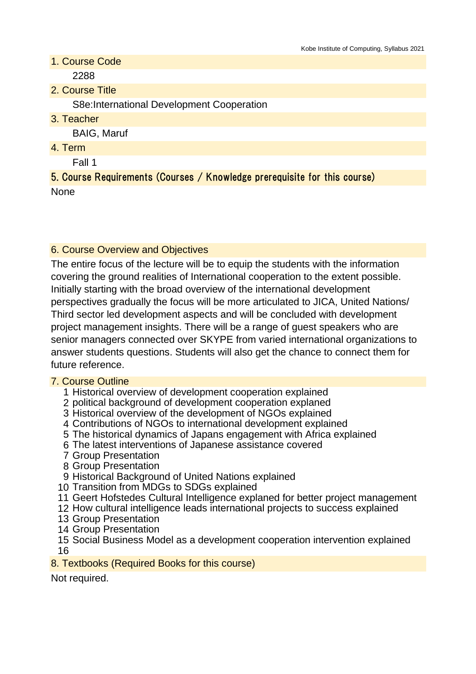- 1. Course Code 2288
- 2. Course Title

S8e:International Development Cooperation

3. Teacher

BAIG, Maruf

4. Term

Fall 1

5. Course Requirements (Courses / Knowledge prerequisite for this course) None

#### 6. Course Overview and Objectives

The entire focus of the lecture will be to equip the students with the information covering the ground realities of International cooperation to the extent possible. Initially starting with the broad overview of the international development perspectives gradually the focus will be more articulated to JICA, United Nations/ Third sector led development aspects and will be concluded with development project management insights. There will be a range of guest speakers who are senior managers connected over SKYPE from varied international organizations to answer students questions. Students will also get the chance to connect them for future reference.

#### 7. Course Outline

- 1 Historical overview of development cooperation explained
- 2 political background of development cooperation explaned
- 3 Historical overview of the development of NGOs explained
- 4 Contributions of NGOs to international development explained
- 5 The historical dynamics of Japans engagement with Africa explained
- 6 The latest interventions of Japanese assistance covered
- 7 Group Presentation
- 8 Group Presentation
- 9 Historical Background of United Nations explained
- 10 Transition from MDGs to SDGs explained
- 11 Geert Hofstedes Cultural Intelligence explaned for better project management
- 12 How cultural intelligence leads international projects to success explained
- 13 Group Presentation
- 14 Group Presentation
- 15 Social Business Model as a development cooperation intervention explained 16

#### 8. Textbooks (Required Books for this course)

Not required.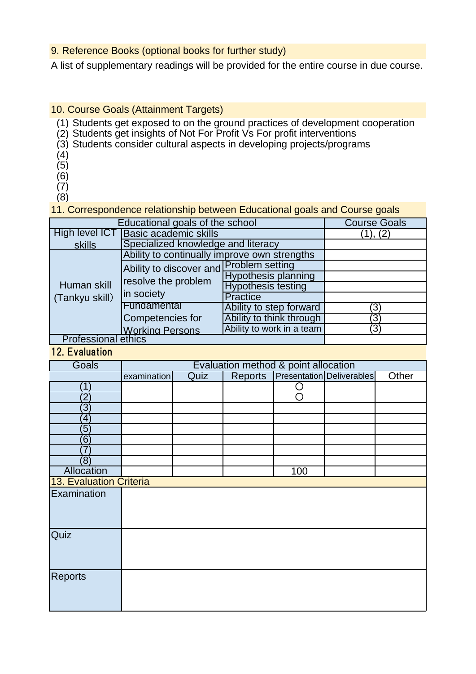## 9. Reference Books (optional books for further study)

A list of supplementary readings will be provided for the entire course in due course.

## 10. Course Goals (Attainment Targets)

- (1) Students get exposed to on the ground practices of development cooperation
- (2) Students get insights of Not For Profit Vs For profit interventions
- (3) Students consider cultural aspects in developing projects/programs
- (4)
- $(5)$
- (6) (7)
- $(8)$

11. Correspondence relationship between Educational goals and Course goals

| Educational goals of the school | <b>Course Goals</b>                                                          |                            |     |  |
|---------------------------------|------------------------------------------------------------------------------|----------------------------|-----|--|
| High level ICT                  | <b>Basic academic skills</b>                                                 |                            |     |  |
| skills                          | Specialized knowledge and literacy                                           |                            |     |  |
| Human skill<br>(Tankyu skill)   | Ability to continually improve own strengths                                 |                            |     |  |
|                                 | Ability to discover and Problem setting<br>resolve the problem<br>in society |                            |     |  |
|                                 |                                                                              | <b>Hypothesis planning</b> |     |  |
|                                 |                                                                              | <b>Hypothesis testing</b>  |     |  |
|                                 |                                                                              | Practice                   |     |  |
|                                 | Fundamental                                                                  | Ability to step forward    | 3)  |  |
|                                 | Competencies for                                                             | Ability to think through   | ΄3  |  |
|                                 | <b>Working Persons</b>                                                       | Ability to work in a team  | (3) |  |
| <b>Professional ethics</b>      |                                                                              |                            |     |  |

# 12. Evaluation

| <b>Goals</b>            | Evaluation method & point allocation |             |                |     |                                  |       |
|-------------------------|--------------------------------------|-------------|----------------|-----|----------------------------------|-------|
|                         | examination                          | <b>Quiz</b> | <b>Reports</b> |     | <b>Presentation Deliverables</b> | Other |
| $^{\prime}$ 1           |                                      |             |                | ◠   |                                  |       |
| $\overline{2}$          |                                      |             |                | ⊂   |                                  |       |
| $\left 3\right\rangle$  |                                      |             |                |     |                                  |       |
| $\left 4\right\rangle$  |                                      |             |                |     |                                  |       |
| $\left(5\right)$        |                                      |             |                |     |                                  |       |
| $\overline{6}$          |                                      |             |                |     |                                  |       |
|                         |                                      |             |                |     |                                  |       |
| (8)                     |                                      |             |                |     |                                  |       |
| Allocation              |                                      |             |                | 100 |                                  |       |
| 13. Evaluation Criteria |                                      |             |                |     |                                  |       |
| Examination             |                                      |             |                |     |                                  |       |
|                         |                                      |             |                |     |                                  |       |
|                         |                                      |             |                |     |                                  |       |
| Quiz                    |                                      |             |                |     |                                  |       |
|                         |                                      |             |                |     |                                  |       |
|                         |                                      |             |                |     |                                  |       |
|                         |                                      |             |                |     |                                  |       |
| <b>Reports</b>          |                                      |             |                |     |                                  |       |
|                         |                                      |             |                |     |                                  |       |
|                         |                                      |             |                |     |                                  |       |
|                         |                                      |             |                |     |                                  |       |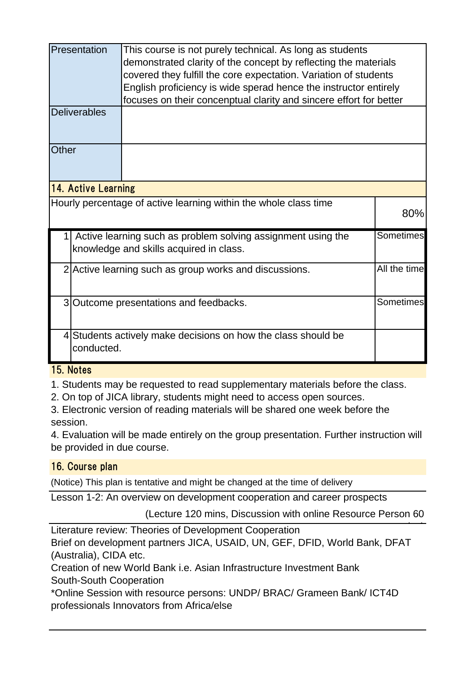|                                                                  | Presentation                                                                                                         | This course is not purely technical. As long as students<br>demonstrated clarity of the concept by reflecting the materials<br>covered they fulfill the core expectation. Variation of students<br>English proficiency is wide sperad hence the instructor entirely<br>focuses on their concenptual clarity and sincere effort for better |  |  |  |
|------------------------------------------------------------------|----------------------------------------------------------------------------------------------------------------------|-------------------------------------------------------------------------------------------------------------------------------------------------------------------------------------------------------------------------------------------------------------------------------------------------------------------------------------------|--|--|--|
|                                                                  | <b>Deliverables</b>                                                                                                  |                                                                                                                                                                                                                                                                                                                                           |  |  |  |
| Other                                                            |                                                                                                                      |                                                                                                                                                                                                                                                                                                                                           |  |  |  |
| 14. Active Learning                                              |                                                                                                                      |                                                                                                                                                                                                                                                                                                                                           |  |  |  |
| Hourly percentage of active learning within the whole class time |                                                                                                                      |                                                                                                                                                                                                                                                                                                                                           |  |  |  |
|                                                                  | Sometimes<br>Active learning such as problem solving assignment using the<br>knowledge and skills acquired in class. |                                                                                                                                                                                                                                                                                                                                           |  |  |  |
|                                                                  | All the time<br>2 Active learning such as group works and discussions.                                               |                                                                                                                                                                                                                                                                                                                                           |  |  |  |
|                                                                  | Sometimes<br>3 Outcome presentations and feedbacks.                                                                  |                                                                                                                                                                                                                                                                                                                                           |  |  |  |
|                                                                  | 4 Students actively make decisions on how the class should be<br>conducted.                                          |                                                                                                                                                                                                                                                                                                                                           |  |  |  |

## 15. Notes

1. Students may be requested to read supplementary materials before the class.

2. On top of JICA library, students might need to access open sources.

3. Electronic version of reading materials will be shared one week before the session.

4. Evaluation will be made entirely on the group presentation. Further instruction will be provided in due course.

# 16. Course plan

(Notice) This plan is tentative and might be changed at the time of delivery

Lesson 1-2: An overview on development cooperation and career prospects

(Lecture 120 mins, Discussion with online Resource Person 60

Literature review: Theories of Development Cooperation Brief on development partners JICA, USAID, UN, GEF, DFID, World Bank, DFAT (Australia), CIDA etc.  $\overline{\phantom{a}}$ 

Creation of new World Bank i.e. Asian Infrastructure Investment Bank South-South Cooperation

\*Online Session with resource persons: UNDP/ BRAC/ Grameen Bank/ ICT4D professionals Innovators from Africa/else